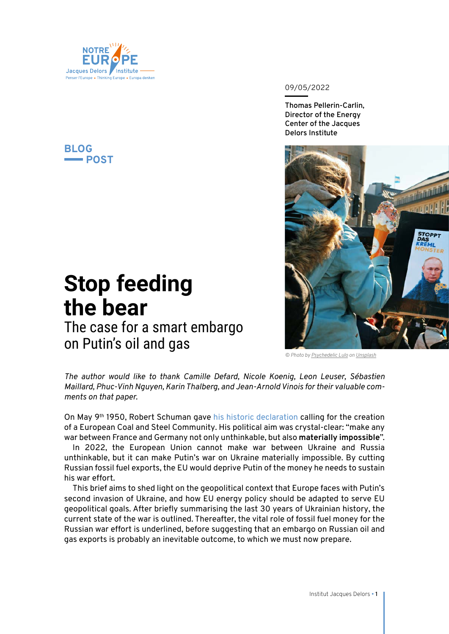

# **BLOG POST**

## 09/05/2022

**Thomas Pellerin-Carlin, Director of the Energy Center of the Jacques Delors Institute**



The case for a smart embargo

on Putin's oil and gas

**Stop feeding** 

**the bear** 

*© Photo by [Psychedelic Lulo](https://unsplash.com/@psychedelic_lulo?utm_source=unsplash&utm_medium=referral&utm_content=creditCopyText) on [Unsplash](https://unsplash.com/)*

*The author would like to thank Camille Defard, Nicole Koenig, Leon Leuser, Sébastien Maillard, Phuc-Vinh Nguyen, Karin Thalberg, and Jean-Arnold Vinois for their valuable comments on that paper.*

On May 9<sup>th</sup> 1950, Robert Schuman gave [his historic declaration](https://www.robert-schuman.eu/fr/declaration-du-9-mai-1950) calling for the creation of a European Coal and Steel Community. His political aim was crystal-clear: "make any war between France and Germany not only unthinkable, but also **materially impossible**".

In 2022, the European Union cannot make war between Ukraine and Russia unthinkable, but it can make Putin's war on Ukraine materially impossible. By cutting Russian fossil fuel exports, the EU would deprive Putin of the money he needs to sustain his war effort.

This brief aims to shed light on the geopolitical context that Europe faces with Putin's second invasion of Ukraine, and how EU energy policy should be adapted to serve EU geopolitical goals. After briefly summarising the last 30 years of Ukrainian history, the current state of the war is outlined. Thereafter, the vital role of fossil fuel money for the Russian war effort is underlined, before suggesting that an embargo on Russian oil and gas exports is probably an inevitable outcome, to which we must now prepare.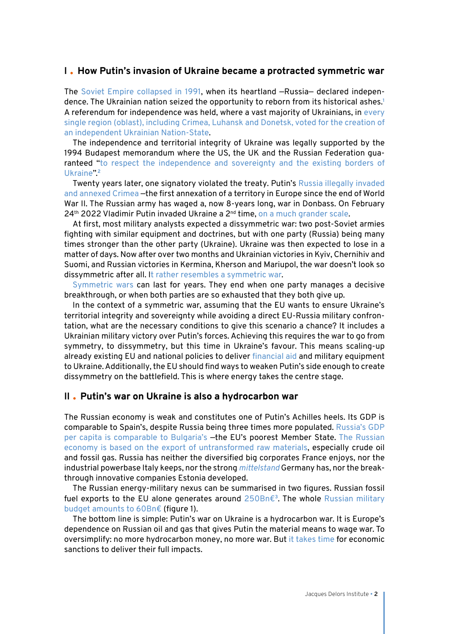## **I How Putin's invasion of Ukraine became a protracted symmetric war**

The [Soviet Empire collapsed in 1991](https://www.youtube.com/watch?v=f5nbT4xQqwI), when its heartland —Russia— declared independence. The Ukrainian nation seized the opportunity to reborn from its historical ashes.**<sup>1</sup>** A referendum for independence was held, where a vast majority of Ukrainians, in [every](https://en.wikipedia.org/wiki/1991_Ukrainian_independence_referendum) [single region \(oblast\), including Crimea, Luhansk and Donetsk, voted for the creation of](https://en.wikipedia.org/wiki/1991_Ukrainian_independence_referendum) [an independent Ukrainian Nation-State](https://en.wikipedia.org/wiki/1991_Ukrainian_independence_referendum).

The independence and territorial integrity of Ukraine was legally supported by the 1994 Budapest memorandum where the US, the UK and the Russian Federation guaranteed "[to respect the independence and sovereignty and the existing borders of](https://treaties.un.org/doc/Publication/UNTS/Volume%203007/Part/volume-3007-I-52241.pdf) [Ukraine](https://treaties.un.org/doc/Publication/UNTS/Volume%203007/Part/volume-3007-I-52241.pdf)".**<sup>2</sup>**

Twenty years later, one signatory violated the treaty. Putin's [Russia illegally invaded](https://www.egmontinstitute.be/ukraine-the-price-of-stability/) [and annexed Crimea](https://www.egmontinstitute.be/ukraine-the-price-of-stability/) —the first annexation of a territory in Europe since the end of World War II. The Russian army has waged a, now 8-years long, war in Donbass. On February  $24<sup>th</sup>$  2022 Vladimir Putin invaded Ukraine a  $2<sup>nd</sup>$  time, on a much grander scale.

At first, most military analysts expected a dissymmetric war: two post-Soviet armies fighting with similar equipment and doctrines, but with one party (Russia) being many times stronger than the other party (Ukraine). Ukraine was then expected to lose in a matter of days. Now after over two months and Ukrainian victories in Kyiv, Chernihiv and Suomi, and Russian victories in Kermina, Kherson and Mariupol, the war doesn't look so dissymmetric after all. [It rather resembles a symmetric war](https://twitter.com/egea_blog/status/1510687845161349133).

[Symmetric wars](https://www.penseemiliterre.fr/monde-nouveau-nouveaux-conflits_659_1013077.html) can last for years. They end when one party manages a decisive breakthrough, or when both parties are so exhausted that they both give up.

In the context of a symmetric war, assuming that the EU wants to ensure Ukraine's territorial integrity and sovereignty while avoiding a direct EU-Russia military confrontation, what are the necessary conditions to give this scenario a chance? It includes a Ukrainian military victory over Putin's forces. Achieving this requires the war to go from symmetry, to dissymmetry, but this time in Ukraine's favour. This means scaling-up already existing EU and national policies to deliver [financial aid](https://www.consilium.europa.eu/en/press/press-releases/2022/04/13/eu-support-to-ukraine-council-agrees-on-third-tranche-of-support-under-the-european-peace-facility-for-total-1-5-billion/) and military equipment to Ukraine. Additionally, the EU should find ways to weaken Putin's side enough to create dissymmetry on the battlefield. This is where energy takes the centre stage.

## **II Putin's war on Ukraine is also a hydrocarbon war**

The Russian economy is weak and constitutes one of Putin's Achilles heels. Its GDP is comparable to Spain's, despite Russia being three times more populated. [Russia's GDP](https://www.imf.org/en/Publications/WEO/weo-database/2022/April/weo-report?c=512,446,463,926,&s=PPPPC,&sy=2020&ey=2023&ssm=0&scsm=1&scc=0&ssd=1&ssc=0&sic=0&sort=country&ds=.&br=1) [per capita is comparable to Bulgaria's](https://www.imf.org/en/Publications/WEO/weo-database/2022/April/weo-report?c=512,446,463,926,&s=PPPPC,&sy=2020&ey=2023&ssm=0&scsm=1&scc=0&ssd=1&ssc=0&sic=0&sort=country&ds=.&br=1) -the EU's poorest Member State. [The Russian](https://www.politico.eu/article/europe-eu-oil-gas-trade-russia-budget-military-spending-ukraine-war-crisis/) [economy is based on the export of untransformed raw materials,](https://www.politico.eu/article/europe-eu-oil-gas-trade-russia-budget-military-spending-ukraine-war-crisis/) especially crude oil and fossil gas. Russia has neither the diversified big corporates France enjoys, nor the industrial powerbase Italy keeps, nor the strong *[mittelstand](https://english.bdi.eu/topics/germany/german-mittelstand/)* [G](https://english.bdi.eu/topics/germany/german-mittelstand/)ermany has, nor the breakthrough innovative companies Estonia developed.

The Russian energy-military nexus can be summarised in two figures. Russian fossil fuel exports to the EU alone generates around [250Bn€](https://crea.shinyapps.io/russia_counter/?tab=methodology)**<sup>3</sup>**. The whole [Russian military](https://www.sipri.org/databases/milex) [budget amounts to 60Bn€](https://www.sipri.org/databases/milex) (figure 1).

The bottom line is simple: Putin's war on Ukraine is a hydrocarbon war. It is Europe's dependence on Russian oil and gas that gives Putin the material means to wage war. To oversimplify: no more hydrocarbon money, no more war. But [it takes time](https://www.youtube.com/watch?v=Yw5lzKVn3sc) for economic sanctions to deliver their full impacts.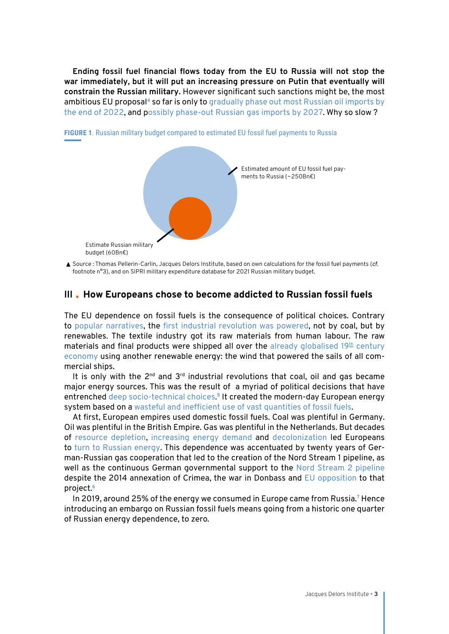**Ending fossil fuel financial flows today from the EU to Russia will not stop the war immediately, but it will put an increasing pressure on Putin that eventually will constrain the Russian military.** However significant such sanctions might be, the most ambitious EU proposal**<sup>4</sup>** so far is only to [gradually phase out most Russian oil imports by](https://pro.politico.eu/news/eu-phaseout-russia-oil-by-end-of-year) [the end of 2022](https://pro.politico.eu/news/eu-phaseout-russia-oil-by-end-of-year), and [possibly phase-out Russian gas imports by 2027](https://www.spglobal.com/commodityinsights/en/market-insights/latest-news/electric-power/031122-eu-plans-proposal-to-phase-out-russian-fossil-fuels-by-2027-von-der-leyen). Why so slow?



**FIGURE 1**. Russian military budget compared to estimated EU fossil fuel payments to Russia

▲ Source : Thomas Pellerin-Carlin, Jacques Delors Institute, based on own calculations for the fossil fuel payments (*cf.* footnote n°3), and on SIPRI military expenditure database for 2021 Russian military budget.

## **III How Europeans chose to become addicted to Russian fossil fuels**

The EU dependence on fossil fuels is the consequence of political choices. Contrary to [popular narratives](https://www.economist.com/leaders/2012/04/21/the-third-industrial-revolution), the [first industrial revolution was powered](https://hal.archives-ouvertes.fr/hal-00956441/document), not by coal, but by renewables. The textile industry got its raw materials from human labour. The raw materials and final products were shipped all over the already globalised  $19<sup>th</sup>$  century [economy](https://www.seuil.com/ouvrage/notre-premiere-mondialisation-suzanne-berger/9782020579216) using another renewable energy: the wind that powered the sails of all commercial ships.

It is only with the  $2^{nd}$  and  $3^{rd}$  industrial revolutions that coal, oil and gas became major energy sources. This was the result of a myriad of political decisions that have entrenched [deep socio-technical choices](https://www.sciencedirect.com/science/article/pii/S2214629620301924). **<sup>5</sup>** It created the modern-day European energy system based on a [wasteful and inefficient use of vast quantities of fossil fuels](https://institutdelors.eu/wp-content/uploads/2020/08/1-ENERGY-Pellerin-Carlin2.pdf).

At first, European empires used domestic fossil fuels. Coal was plentiful in Germany. Oil was plentiful in the British Empire. Gas was plentiful in the Netherlands. But decades of [resource depletion](https://www.eia.gov/naturalgas/weekly/archivenew_ngwu/2020/09_17/), increasing energy demand and [decolonization](https://www.persee.fr/doc/rfsp_0035-2950_1965_num_15_4_392876) led Europeans to [turn to Russian energy](https://www.dw.com/en/russian-gas-in-germany-a-complicated-50-year-relationship/a-61057166). This dependence was accentuated by twenty years of German-Russian gas cooperation that led to the creation of the Nord Stream 1 pipeline, as well as the continuous German governmental support to the [Nord Stream 2 pipeline](https://institutdelors.eu/en/publications/la-dependance-europeenne-au-gaz-russe-lexemple-nord-stream-2/) despite the 2014 annexation of Crimea, the war in Donbass and [EU opposition](https://www.naturalgasworld.com/most-read-article-for-december-2015-27402) to that project.**<sup>6</sup>**

In 2019, around 25% of the energy we consumed in Europe came from Russia.<sup>7</sup> Hence introducing an embargo on Russian fossil fuels means going from a historic one quarter of Russian energy dependence, to zero.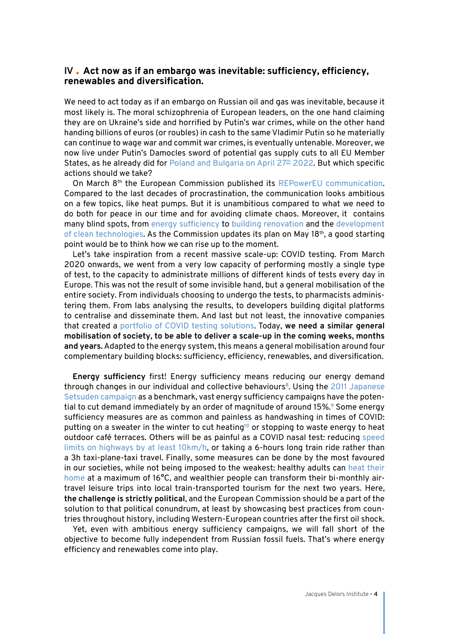## **IV Act now as if an embargo was inevitable: sufficiency, efficiency, renewables and diversification.**

We need to act today as if an embargo on Russian oil and gas was inevitable, because it most likely is. The moral schizophrenia of European leaders, on the one hand claiming they are on Ukraine's side and horrified by Putin's war crimes, while on the other hand handing billions of euros (or roubles) in cash to the same Vladimir Putin so he materially can continue to wage war and commit war crimes, is eventually untenable. Moreover, we now live under Putin's Damocles sword of potential gas supply cuts to all EU Member States, as he already did for Poland and Bulgaria on April  $27<sup>th</sup>$  2022. But which specific actions should we take?

On March 8th the European Commission published its [REPowerEU communication.](https://eur-lex.europa.eu/legal-content/EN/TXT/?uri=COM%3A2022%3A108%3AFIN) Compared to the last decades of procrastination, the communication looks ambitious on a few topics, like heat pumps. But it is unambitious compared to what we need to do both for peace in our time and for avoiding climate chaos. Moreover, it contains many blind spots, from [energy sufficiency](https://zoe-institut.de/en/publication/demand-side-solutions-to-address-energy-shortages/) to [building renovation](https://www.bpie.eu/publication/repowereu-energy-saving-plan-time-to-switch-to-action/) and the [development](https://twitter.com/ThPellerin/status/1507268424472399876) [of clean technologies](https://twitter.com/ThPellerin/status/1507268424472399876). As the Commission updates its plan on May 18<sup>th</sup>, a good starting point would be to think how we can rise up to the moment.

Let's take inspiration from a recent massive scale-up: COVID testing. From March 2020 onwards, we went from a very low capacity of performing mostly a single type of test, to the capacity to administrate millions of different kinds of tests every day in Europe. This was not the result of some invisible hand, but a general mobilisation of the entire society. From individuals choosing to undergo the tests, to pharmacists administering them. From labs analysing the results, to developers building digital platforms to centralise and disseminate them. And last but not least, the innovative companies that created a [portfolio of COVID testing solutions](https://www.nature.com/articles/s41576-021-00360-w). Today, **we need a similar general mobilisation of society, to be able to deliver a scale-up in the coming weeks, months and years.** Adapted to the energy system, this means a general mobilisation around four complementary building blocks: sufficiency, efficiency, renewables, and diversification.

**Energy sufficiency** first! Energy sufficiency means reducing our energy demand through changes in our individual and collective behaviours**<sup>8</sup>**. Using the [2011 Japanese](https://www.sciencedirect.com/science/article/abs/pii/S0306261916300071?via%3Dihub) [Setsuden campaign](https://www.sciencedirect.com/science/article/abs/pii/S0306261916300071?via%3Dihub) as a benchmark, vast energy sufficiency campaigns have the potential to cut demand immediately by an order of magnitude of around 15%.**<sup>9</sup>** Some energy sufficiency measures are as common and painless as handwashing in times of COVID: putting on a sweater in the winter to cut heating**<sup>10</sup>** or stopping to waste energy to heat outdoor café terraces. Others will be as painful as a COVID nasal test: reducing [speed](https://www.iea.org/reports/a-10-point-plan-to-cut-oil-use) [limits on highways by at least 10km/h](https://www.iea.org/reports/a-10-point-plan-to-cut-oil-use), or taking a 6-hours long train ride rather than a 3h taxi-plane-taxi travel. Finally, some measures can be done by the most favoured in our societies, while not being imposed to the weakest: healthy adults can [heat their](https://www.iea.org/news/how-europe-can-cut-natural-gas-imports-from-russia-significantly-within-a-year) [home](https://www.iea.org/news/how-europe-can-cut-natural-gas-imports-from-russia-significantly-within-a-year) at a maximum of 16°C, and wealthier people can transform their bi-monthly airtravel leisure trips into local train-transported tourism for the next two years. Here, **the challenge is strictly political**, and the European Commission should be a part of the solution to that political conundrum, at least by showcasing best practices from countries throughout history, including Western-European countries after the first oil shock.

Yet, even with ambitious energy sufficiency campaigns, we will fall short of the objective to become fully independent from Russian fossil fuels. That's where energy efficiency and renewables come into play.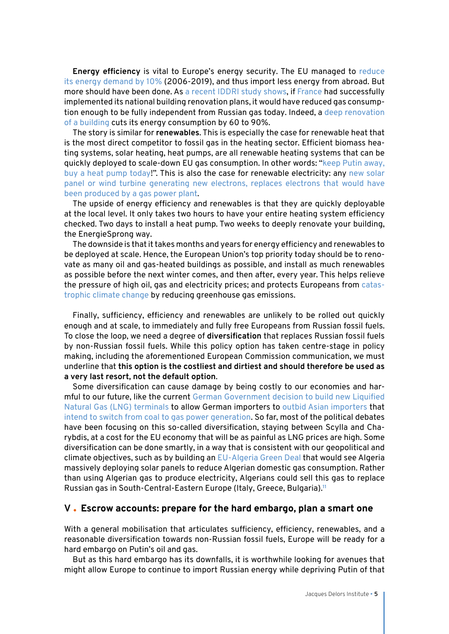**Energy efficiency** is vital to Europe's energy security. The EU managed to [reduce](https://ec.europa.eu/eurostat/fr/web/products-eurostat-news/-/ddn-20211221-1) [its energy demand by 10%](https://ec.europa.eu/eurostat/fr/web/products-eurostat-news/-/ddn-20211221-1) (2006-2019), and thus import less energy from abroad. But more should have been done. As [a recent IDDRI study shows](https://www.iddri.org/fr/publications-et-evenements/billet-de-blog/la-renovation-energetique-levier-essentiel-pour-se), if France had successfully implemented its national building renovation plans, it would have reduced gas consumption enough to be fully independent from Russian gas today. Indeed, a [deep renovation](https://institutdelors.eu/wp-content/uploads/2021/11/PB_211117_Meps_Defard_EN-1.pdf) [of a building](https://institutdelors.eu/wp-content/uploads/2021/11/PB_211117_Meps_Defard_EN-1.pdf) cuts its energy consumption by 60 to 90%.

The story is similar for **renewables**. This is especially the case for renewable heat that is the most direct competitor to fossil gas in the heating sector. Efficient biomass heating systems, solar heating, heat pumps, are all renewable heating systems that can be quickly deployed to scale-down EU gas consumption. In other words: "[keep Putin away,](https://www.reddit.com/r/neoliberal/comments/tbclm8/send_putin_away_get_a_heat_pump_today/) [buy a heat pump today](https://www.reddit.com/r/neoliberal/comments/tbclm8/send_putin_away_get_a_heat_pump_today/)!". This is also the case for renewable electricity: any [new solar](https://ember-climate.org/insights/research/european-electricity-review-2022/) [panel or wind turbine generating new electrons, replaces electrons that would have](https://ember-climate.org/insights/research/european-electricity-review-2022/) [been produced by a gas power plant.](https://ember-climate.org/insights/research/european-electricity-review-2022/)

The upside of energy efficiency and renewables is that they are quickly deployable at the local level. It only takes two hours to have your entire heating system efficiency checked. Two days to install a heat pump. Two weeks to deeply renovate your building, the [EnergieSprong](https://www.energiesprong.fr/projets/) way.

The downside is that it takes months and years for energy efficiency and renewables to be deployed at scale. Hence, the European Union's top priority today should be to renovate as many oil and gas-heated buildings as possible, and install as much renewables as possible before the next winter comes, and then after, every year. This helps relieve the pressure of high oil, gas and electricity prices; and protects Europeans from [catas](https://www.ipcc.ch/working-group/wg2/)[trophic climate change](https://www.ipcc.ch/working-group/wg2/) by reducing greenhouse gas emissions.

Finally, sufficiency, efficiency and renewables are unlikely to be rolled out quickly enough and at scale, to immediately and fully free Europeans from Russian fossil fuels. To close the loop, we need a degree of **diversification** that replaces Russian fossil fuels by non-Russian fossil fuels. While this policy option has taken centre-stage in policy making, including the aforementioned European Commission communication, we must underline that **this option is the costliest and dirtiest and should therefore be used as a very last resort, not the default option**.

Some diversification can cause damage by being costly to our economies and harmful to our future, like the current [German Government decision to build new Liquified](https://www.bloomberg.com/news/articles/2022-03-05/germany-to-build-lng-terminal-to-reduce-russian-gas-dependence) [Natural Gas \(LNG\) terminals](https://www.bloomberg.com/news/articles/2022-03-05/germany-to-build-lng-terminal-to-reduce-russian-gas-dependence) to allow German importers to [outbid Asian importers](https://www.bloomberg.com/news/articles/2022-05-05/india-turns-to-expensive-foreign-gas-to-ease-its-power-crisis) that [intend to switch from coal to gas power generation.](https://www.oxfordenergy.org/publications/emerging-asia-lng-demand/) So far, most of the political debates have been focusing on this so-called diversification, staying between Scylla and Charybdis, at a cost for the EU economy that will be as painful as LNG prices are high. Some diversification can be done smartly, in a way that is consistent with our geopolitical and climate objectives, such as by building an [EU-Algeria Green Deal](https://institutdelors.eu/wp-content/uploads/2020/08/eualgeriaenergy-grigorjeva-jdib-sept16-4.pdf) that would see Algeria massively deploying solar panels to reduce Algerian domestic gas consumption. Rather than using Algerian gas to produce electricity, Algerians could sell this gas to replace Russian gas in South-Central-Eastern Europe (Italy, Greece, Bulgaria).**<sup>11</sup>**

## **V Escrow accounts: prepare for the hard embargo, plan a smart one**

With a general mobilisation that articulates sufficiency, efficiency, renewables, and a reasonable diversification towards non-Russian fossil fuels, Europe will be ready for a hard embargo on Putin's oil and gas.

But as this hard embargo has its downfalls, it is worthwhile looking for avenues that might allow Europe to continue to import Russian energy while depriving Putin of that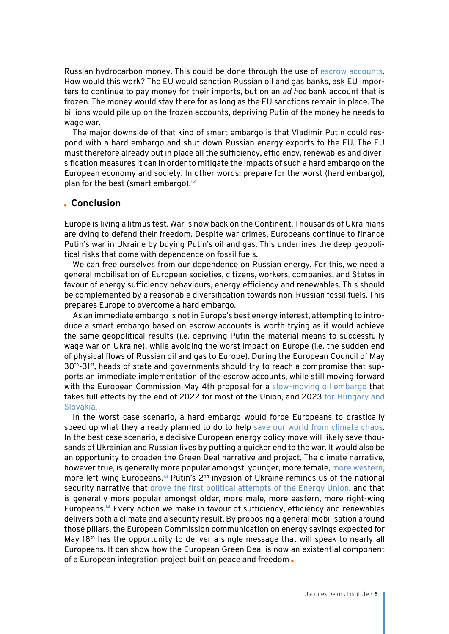Russian hydrocarbon money. This could be done through the use of [escrow accounts.](https://fortune.com/2022/04/12/russia-ukraine-biden-eu-energy-sanctions-escrow-arrangement-oil-gas-prices-international-politics-stevens-jenevein/) How would this work? The EU would sanction Russian oil and gas banks, ask EU importers to continue to pay money for their imports, but on an *ad hoc* bank account that is frozen. The money would stay there for as long as the EU sanctions remain in place. The billions would pile up on the frozen accounts, depriving Putin of the money he needs to wage war.

The major downside of that kind of smart embargo is that Vladimir Putin could respond with a hard embargo and shut down Russian energy exports to the EU. The EU must therefore already put in place all the sufficiency, efficiency, renewables and diversification measures it can in order to mitigate the impacts of such a hard embargo on the European economy and society. In other words: prepare for the worst (hard embargo), plan for the best (smart embargo).**<sup>12</sup>**

## **Conclusion**

Europe is living a litmus test. War is now back on the Continent. Thousands of Ukrainians are dying to defend their freedom. Despite war crimes, Europeans continue to finance Putin's war in Ukraine by buying Putin's oil and gas. This underlines the deep geopolitical risks that come with dependence on fossil fuels.

We can free ourselves from our dependence on Russian energy. For this, we need a general mobilisation of European societies, citizens, workers, companies, and States in favour of energy sufficiency behaviours, energy efficiency and renewables. This should be complemented by a reasonable diversification towards non-Russian fossil fuels. This prepares Europe to overcome a hard embargo.

As an immediate embargo is not in Europe's best energy interest, attempting to introduce a smart embargo based on escrow accounts is worth trying as it would achieve the same geopolitical results (i.e. depriving Putin the material means to successfully wage war on Ukraine), while avoiding the worst impact on Europe (i.e. the sudden end of physical flows of Russian oil and gas to Europe). During the European Council of May 30<sup>th</sup>-31<sup>st</sup>, heads of state and governments should try to reach a compromise that supports an immediate implementation of the escrow accounts, while still moving forward with the European Commission May 4th proposal for a [slow-moving oil embargo](https://www.euractiv.com/section/energy-environment/news/russias-sixth-sanction-package-opens-eus-pandoras-box/) that takes full effects by the end of 2022 for most of the Union, and 2023 [for Hungary and](https://www.bruegel.org/2022/03/can-europe-manage-if-russian-oil-and-coal-are-cut-off/) [Slovakia](https://www.bruegel.org/2022/03/can-europe-manage-if-russian-oil-and-coal-are-cut-off/).

In the worst case scenario, a hard embargo would force Europeans to drastically speed up what they already planned to do to help [save our world from climate chaos.](https://www.ipcc.ch/working-group/wg2/) In the best case scenario, a decisive European energy policy move will likely save thousands of Ukrainian and Russian lives by putting a quicker end to the war. It would also be an opportunity to broaden the Green Deal narrative and project. The climate narrative, however true, is generally more popular amongst younger, more female, [more western,](https://institutdelors.eu/wp-content/uploads/2020/08/1-ENERGY-Pellerin-Carlin2.pdf) more left-wing Europeans.<sup>13</sup> Putin's 2<sup>nd</sup> invasion of Ukraine reminds us of the national security narrative that [drove the first political attempts of the Energy Union](https://institutdelors.eu/publications/declaration-conjointe-de-jacques-delors-et-jerzy-buzek-en-faveur-dune-nouvelle-communaute-europeenne-de-lenergie/), and that is generally more popular amongst older, more male, more eastern, more right-wing Europeans.**<sup>14</sup>** Every action we make in favour of sufficiency, efficiency and renewables delivers both a climate and a security result. By proposing a general mobilisation around those pillars, the European Commission communication on energy savings expected for May 18<sup>th</sup> has the opportunity to deliver a single message that will speak to nearly all Europeans. It can show how the European Green Deal is now an existential component of a European integration project built on peace and freedom